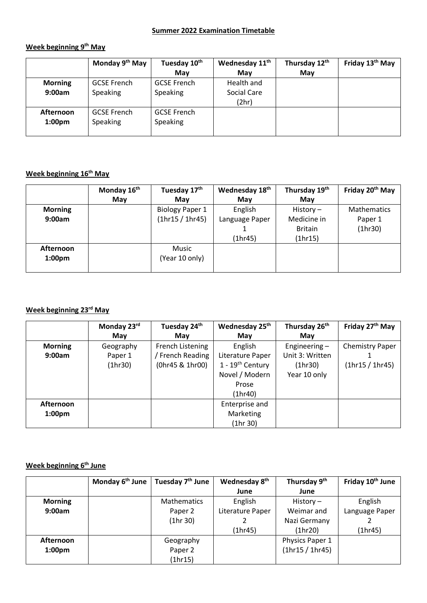#### **Summer 2022 Examination Timetable**

### **Week beginning 9th May**

|                    | Monday 9 <sup>th</sup> May | Tuesday 10 <sup>th</sup> | Wednesday 11 <sup>th</sup> | Thursday 12th | Friday 13 <sup>th</sup> May |
|--------------------|----------------------------|--------------------------|----------------------------|---------------|-----------------------------|
|                    |                            | May                      | May                        | May           |                             |
| <b>Morning</b>     | <b>GCSE French</b>         | <b>GCSE French</b>       | Health and                 |               |                             |
| 9:00am             | Speaking                   | <b>Speaking</b>          | Social Care                |               |                             |
|                    |                            |                          | (2hr)                      |               |                             |
| Afternoon          | <b>GCSE French</b>         | <b>GCSE French</b>       |                            |               |                             |
| 1:00 <sub>pm</sub> | Speaking                   | <b>Speaking</b>          |                            |               |                             |
|                    |                            |                          |                            |               |                             |

### **Week beginning 16th May**

|                    | Monday 16 <sup>th</sup> | Tuesday 17 <sup>th</sup> | Wednesday 18 <sup>th</sup> | Thursday 19th  | Friday 20 <sup>th</sup> May |
|--------------------|-------------------------|--------------------------|----------------------------|----------------|-----------------------------|
|                    | May                     | May                      | May                        | May            |                             |
| <b>Morning</b>     |                         | <b>Biology Paper 1</b>   | English                    | History $-$    | <b>Mathematics</b>          |
| 9:00am             |                         | (1hr15 / 1hr45)          | Language Paper             | Medicine in    | Paper 1                     |
|                    |                         |                          |                            | <b>Britain</b> | (1hr30)                     |
|                    |                         |                          | (1hr45)                    | (1hr15)        |                             |
| Afternoon          |                         | Music                    |                            |                |                             |
| 1:00 <sub>pm</sub> |                         | (Year 10 only)           |                            |                |                             |
|                    |                         |                          |                            |                |                             |

### **Week beginning 23rd May**

|                    | Monday 23rd | Tuesday 24th     | Wednesday 25th                 | Thursday 26 <sup>th</sup> | Friday 27th May        |
|--------------------|-------------|------------------|--------------------------------|---------------------------|------------------------|
|                    | May         | May              | May                            | May                       |                        |
| <b>Morning</b>     | Geography   | French Listening | English                        | Engineering $-$           | <b>Chemistry Paper</b> |
| 9:00am             | Paper 1     | / French Reading | Literature Paper               | Unit 3: Written           |                        |
|                    | (1hr30)     | (0hr45 & 1hr00)  | $1 - 19$ <sup>th</sup> Century | (1hr30)                   | (1hr15 / 1hr45)        |
|                    |             |                  | Novel / Modern                 | Year 10 only              |                        |
|                    |             |                  | Prose                          |                           |                        |
|                    |             |                  | (1hr40)                        |                           |                        |
| Afternoon          |             |                  | Enterprise and                 |                           |                        |
| 1:00 <sub>pm</sub> |             |                  | Marketing                      |                           |                        |
|                    |             |                  | (1hr 30)                       |                           |                        |

### **Week beginning 6th June**

|                    | Monday $6^{th}$ June   Tuesday $7^{th}$ June | Wednesday 8 <sup>th</sup> | Thursday 9 <sup>th</sup> | Friday 10 <sup>th</sup> June |
|--------------------|----------------------------------------------|---------------------------|--------------------------|------------------------------|
|                    |                                              | June                      | June                     |                              |
| <b>Morning</b>     | <b>Mathematics</b>                           | English                   | History $-$              | English                      |
| 9:00am             | Paper 2                                      | Literature Paper          | Weimar and               | Language Paper               |
|                    | (1hr 30)                                     |                           | Nazi Germany             |                              |
|                    |                                              | (1hr45)                   | (1hr20)                  | (1hr45)                      |
| Afternoon          | Geography                                    |                           | Physics Paper 1          |                              |
| 1:00 <sub>pm</sub> | Paper 2                                      |                           | (1hr15 / 1hr45)          |                              |
|                    | (1hr15)                                      |                           |                          |                              |